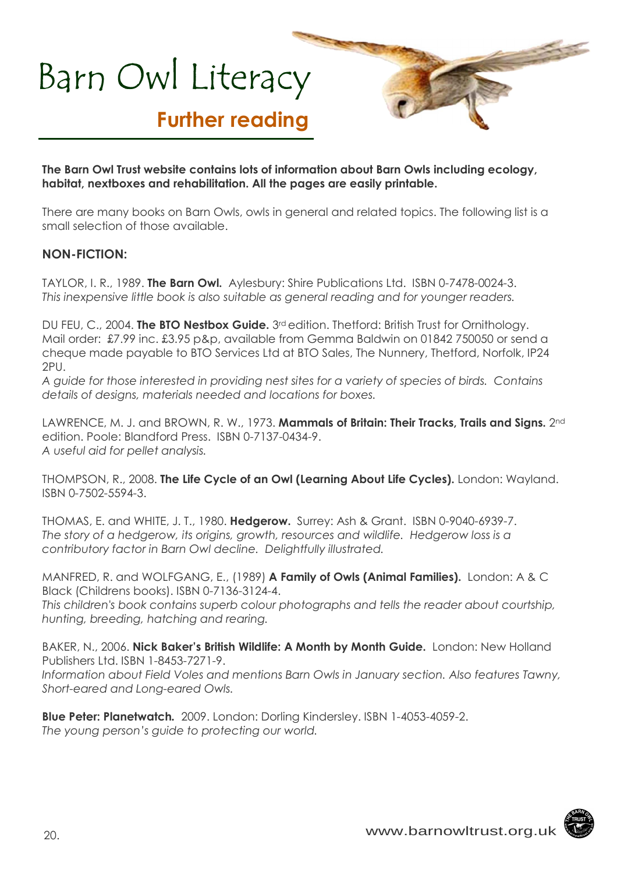## Barn Owl Literacy

## **Further reading**

**The Barn Owl Trust website contains lots of information about Barn Owls including ecology, habitat, nextboxes and rehabilitation. All the pages are easily printable.** 

There are many books on Barn Owls, owls in general and related topics. The following list is a small selection of those available.

### **NON-FICTION:**

TAYLOR, I. R., 1989. **The Barn Owl.** Aylesbury: Shire Publications Ltd. ISBN 0-7478-0024-3. *This inexpensive little book is also suitable as general reading and for younger readers.* 

DU FEU, C., 2004. **The BTO Nestbox Guide.** 3rd edition. Thetford: British Trust for Ornithology. Mail order: £7.99 inc. £3.95 p&p, available from Gemma Baldwin on 01842 750050 or send a cheque made payable to BTO Services Ltd at BTO Sales, The Nunnery, Thetford, Norfolk, IP24 2PU.

*A guide for those interested in providing nest sites for a variety of species of birds. Contains details of designs, materials needed and locations for boxes.* 

LAWRENCE, M. J. and BROWN, R. W., 1973. **Mammals of Britain: Their Tracks, Trails and Signs.** 2nd edition. Poole: Blandford Press. ISBN 0-7137-0434-9. *A useful aid for pellet analysis.* 

THOMPSON, R., 2008. **The Life Cycle of an Owl (Learning About Life Cycles).** London: Wayland. ISBN 0-7502-5594-3.

THOMAS, E. and WHITE, J. T., 1980. **Hedgerow.** Surrey: Ash & Grant. ISBN 0-9040-6939-7. *The story of a hedgerow, its origins, growth, resources and wildlife. Hedgerow loss is a contributory factor in Barn Owl decline. Delightfully illustrated.* 

MANFRED, R. and WOLFGANG, E., (1989) **A Family of Owls (Animal Families).** London: A & C Black (Childrens books). ISBN 0-7136-3124-4.

*This children's book contains superb colour photographs and tells the reader about courtship, hunting, breeding, hatching and rearing.* 

BAKER, N., 2006. **Nick Baker's British Wildlife: A Month by Month Guide.** London: New Holland Publishers Ltd. ISBN 1-8453-7271-9.

*Information about Field Voles and mentions Barn Owls in January section. Also features Tawny, Short-eared and Long-eared Owls.* 

**Blue Peter: Planetwatch***.* 2009. London: Dorling Kindersley. ISBN 1-4053-4059-2. *The young person's guide to protecting our world.*